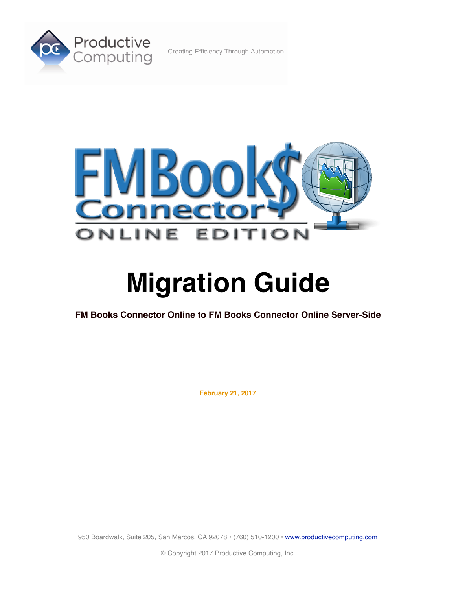

Creating Efficiency Through Automation



# **Migration Guide**

**FM Books Connector Online to FM Books Connector Online Server-Side**

**February 21, 2017**

950 Boardwalk, Suite 205, San Marcos, CA 92078 · (760) 510-1200 · [www.productivecomputing.com](http://www.productivecomputing.com)

© Copyright 2017 Productive Computing, Inc.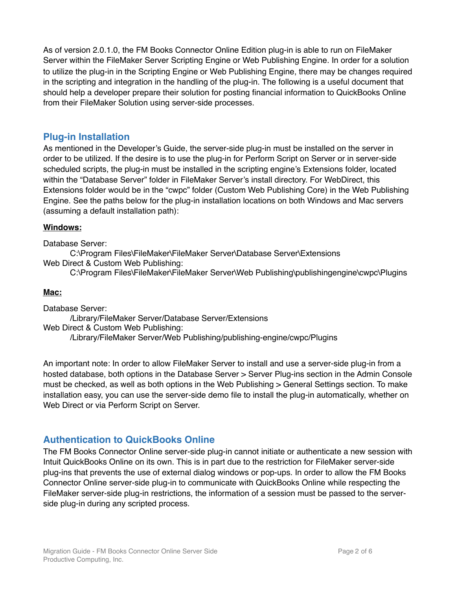As of version 2.0.1.0, the FM Books Connector Online Edition plug-in is able to run on FileMaker Server within the FileMaker Server Scripting Engine or Web Publishing Engine. In order for a solution to utilize the plug-in in the Scripting Engine or Web Publishing Engine, there may be changes required in the scripting and integration in the handling of the plug-in. The following is a useful document that should help a developer prepare their solution for posting financial information to QuickBooks Online from their FileMaker Solution using server-side processes.

## **Plug-in Installation**

As mentioned in the Developer's Guide, the server-side plug-in must be installed on the server in order to be utilized. If the desire is to use the plug-in for Perform Script on Server or in server-side scheduled scripts, the plug-in must be installed in the scripting engine's Extensions folder, located within the "Database Server" folder in FileMaker Server's install directory. For WebDirect, this Extensions folder would be in the "cwpc" folder (Custom Web Publishing Core) in the Web Publishing Engine. See the paths below for the plug-in installation locations on both Windows and Mac servers (assuming a default installation path):

### **Windows:**

Database Server:

C:\Program Files\FileMaker\FileMaker Server\Database Server\Extensions Web Direct & Custom Web Publishing:

C:\Program Files\FileMaker\FileMaker Server\Web Publishing\publishingengine\cwpc\Plugins

#### **Mac:**

Database Server: /Library/FileMaker Server/Database Server/Extensions Web Direct & Custom Web Publishing: /Library/FileMaker Server/Web Publishing/publishing-engine/cwpc/Plugins

An important note: In order to allow FileMaker Server to install and use a server-side plug-in from a hosted database, both options in the Database Server > Server Plug-ins section in the Admin Console must be checked, as well as both options in the Web Publishing > General Settings section. To make installation easy, you can use the server-side demo file to install the plug-in automatically, whether on Web Direct or via Perform Script on Server.

## **Authentication to QuickBooks Online**

The FM Books Connector Online server-side plug-in cannot initiate or authenticate a new session with Intuit QuickBooks Online on its own. This is in part due to the restriction for FileMaker server-side plug-ins that prevents the use of external dialog windows or pop-ups. In order to allow the FM Books Connector Online server-side plug-in to communicate with QuickBooks Online while respecting the FileMaker server-side plug-in restrictions, the information of a session must be passed to the serverside plug-in during any scripted process.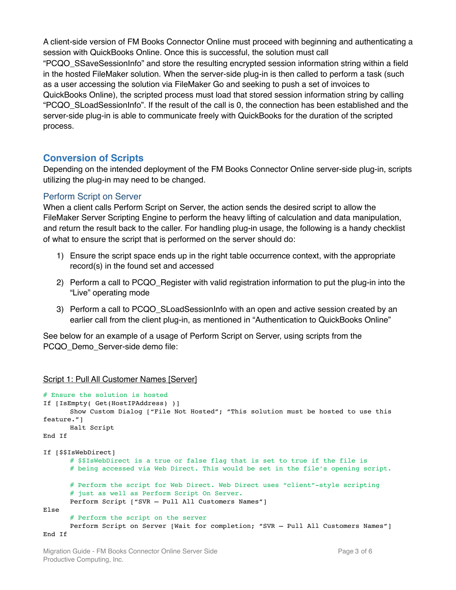A client-side version of FM Books Connector Online must proceed with beginning and authenticating a session with QuickBooks Online. Once this is successful, the solution must call "PCQO\_SSaveSessionInfo" and store the resulting encrypted session information string within a field in the hosted FileMaker solution. When the server-side plug-in is then called to perform a task (such as a user accessing the solution via FileMaker Go and seeking to push a set of invoices to QuickBooks Online), the scripted process must load that stored session information string by calling "PCQO\_SLoadSessionInfo". If the result of the call is 0, the connection has been established and the server-side plug-in is able to communicate freely with QuickBooks for the duration of the scripted process.

## **Conversion of Scripts**

Depending on the intended deployment of the FM Books Connector Online server-side plug-in, scripts utilizing the plug-in may need to be changed.

#### Perform Script on Server

When a client calls Perform Script on Server, the action sends the desired script to allow the FileMaker Server Scripting Engine to perform the heavy lifting of calculation and data manipulation, and return the result back to the caller. For handling plug-in usage, the following is a handy checklist of what to ensure the script that is performed on the server should do:

- 1) Ensure the script space ends up in the right table occurrence context, with the appropriate record(s) in the found set and accessed
- 2) Perform a call to PCQO\_Register with valid registration information to put the plug-in into the "Live" operating mode
- 3) Perform a call to PCQO\_SLoadSessionInfo with an open and active session created by an earlier call from the client plug-in, as mentioned in "Authentication to QuickBooks Online"

See below for an example of a usage of Perform Script on Server, using scripts from the PCQO\_Demo\_Server-side demo file:

Script 1: Pull All Customer Names [Server]

```
# Ensure the solution is hosted
If [IsEmpty( Get(HostIPAddress) )]
      Show Custom Dialog ["File Not Hosted"; "This solution must be hosted to use this 
feature."]
      Halt Script
End If
If [$$IsWebDirect]
      # $$IsWebDirect is a true or false flag that is set to true if the file is 
      # being accessed via Web Direct. This would be set in the file's opening script.
      # Perform the script for Web Direct. Web Direct uses "client"-style scripting 
      # just as well as Perform Script On Server.
      Perform Script ["SVR – Pull All Customers Names"]
Else
      # Perform the script on the server
      Perform Script on Server [Wait for completion; "SVR – Pull All Customers Names"]
End If
```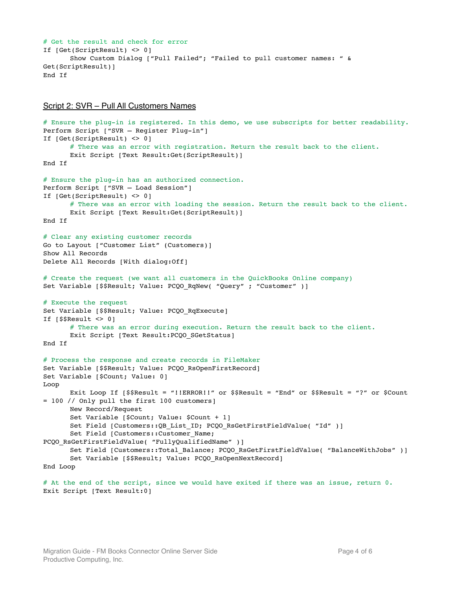```
# Get the result and check for error
If [Get(ScriptResult) <> 0]
      Show Custom Dialog ["Pull Failed"; "Failed to pull customer names: " & 
Get(ScriptResult)]
End If
```
#### Script 2: SVR – Pull All Customers Names

```
# Ensure the plug-in is registered. In this demo, we use subscripts for better readability.
Perform Script ["SVR – Register Plug-in"]
If [Get(ScriptResult) <> 0]
      # There was an error with registration. Return the result back to the client.
      Exit Script [Text Result:Get(ScriptResult)]
End If
# Ensure the plug-in has an authorized connection.
Perform Script ["SVR – Load Session"]
If [Get(ScriptResult) <> 0] 
      # There was an error with loading the session. Return the result back to the client.
      Exit Script [Text Result:Get(ScriptResult)]
End If
# Clear any existing customer records
Go to Layout ["Customer List" (Customers)]
Show All Records
Delete All Records [With dialog:Off]
# Create the request (we want all customers in the QuickBooks Online company)
Set Variable [$$Result; Value: PCQO_RqNew( "Query" ; "Customer" )]
# Execute the request
Set Variable [$$Result; Value: PCQO RqExecute]
If [\$$Result < 0]# There was an error during execution. Return the result back to the client.
      Exit Script [Text Result: PCQO_SGetStatus]
End If
# Process the response and create records in FileMaker
Set Variable [$$Result; Value: PCQO_RsOpenFirstRecord]
Set Variable [$Count; Value: 0]
Loop
      Exit Loop If [$$Result = "!!ERROR!!" or $$Result = "End" or $$Result = "?" or $Count 
= 100 // Only pull the first 100 customers]
      New Record/Request
      Set Variable [$Count; Value: $Count + 1]
      Set Field [Customers::QB_List_ID; PCQO_RsGetFirstFieldValue( "Id" )]
      Set Field [Customers:: Customer Name;
PCQO_RsGetFirstFieldValue( "FullyQualifiedName" )]
      Set Field [Customers::Total Balance; PCQO RsGetFirstFieldValue( "BalanceWithJobs" )]
      Set Variable [$$Result; Value: PCQO RsOpenNextRecord]
End Loop
```

```
# At the end of the script, since we would have exited if there was an issue, return 0.
Exit Script [Text Result:0]
```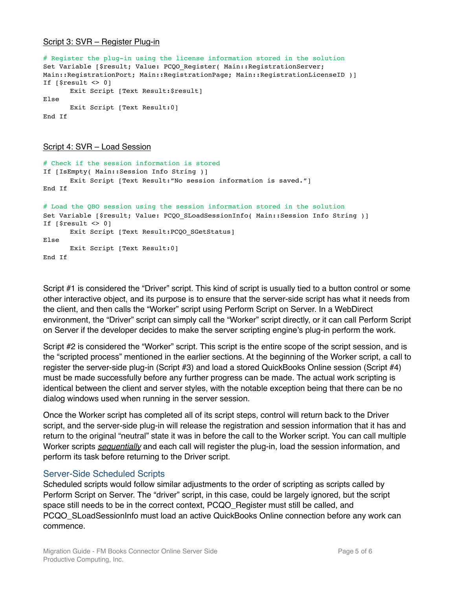#### Script 3: SVR – Register Plug-in

```
# Register the plug-in using the license information stored in the solution
Set Variable [$result; Value: PCQO Register( Main::RegistrationServer;
Main::RegistrationPort; Main::RegistrationPage; Main::RegistrationLicenseID )]
If [sresult \leq 0]Exit Script [Text Result:$result]
Else
      Exit Script [Text Result:0]
End If
```

```
Script 4: SVR – Load Session
```

```
# Check if the session information is stored
If [IsEmpty( Main::Session Info String )]
      Exit Script [Text Result:"No session information is saved."]
End If
# Load the QBO session using the session information stored in the solution
Set Variable [$result; Value: PCQO_SLoadSessionInfo( Main::Session Info String )]
If [$result <> 0]
      Exit Script [Text Result: PCQO_SGetStatus]
Else
      Exit Script [Text Result:0]
End If
```
Script #1 is considered the "Driver" script. This kind of script is usually tied to a button control or some other interactive object, and its purpose is to ensure that the server-side script has what it needs from the client, and then calls the "Worker" script using Perform Script on Server. In a WebDirect environment, the "Driver" script can simply call the "Worker" script directly, or it can call Perform Script on Server if the developer decides to make the server scripting engine's plug-in perform the work.

Script #2 is considered the "Worker" script. This script is the entire scope of the script session, and is the "scripted process" mentioned in the earlier sections. At the beginning of the Worker script, a call to register the server-side plug-in (Script #3) and load a stored QuickBooks Online session (Script #4) must be made successfully before any further progress can be made. The actual work scripting is identical between the client and server styles, with the notable exception being that there can be no dialog windows used when running in the server session.

Once the Worker script has completed all of its script steps, control will return back to the Driver script, and the server-side plug-in will release the registration and session information that it has and return to the original "neutral" state it was in before the call to the Worker script. You can call multiple Worker scripts *sequentially* and each call will register the plug-in, load the session information, and perform its task before returning to the Driver script.

#### Server-Side Scheduled Scripts

Scheduled scripts would follow similar adjustments to the order of scripting as scripts called by Perform Script on Server. The "driver" script, in this case, could be largely ignored, but the script space still needs to be in the correct context, PCQO Register must still be called, and PCQO\_SLoadSessionInfo must load an active QuickBooks Online connection before any work can commence.